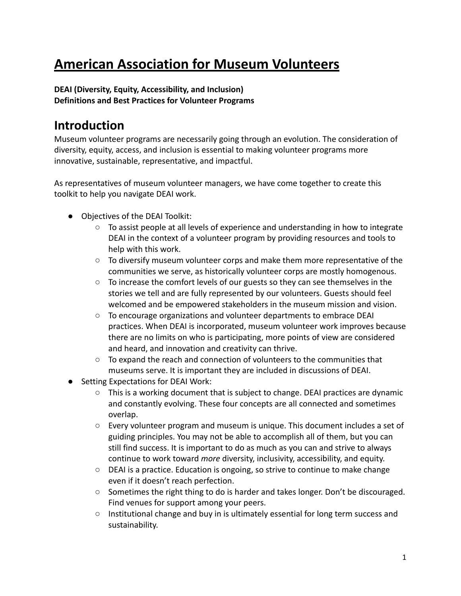# **American Association for Museum Volunteers**

## **DEAI (Diversity, Equity, Accessibility, and Inclusion) Definitions and Best Practices for Volunteer Programs**

## **Introduction**

Museum volunteer programs are necessarily going through an evolution. The consideration of diversity, equity, access, and inclusion is essential to making volunteer programs more innovative, sustainable, representative, and impactful.

As representatives of museum volunteer managers, we have come together to create this toolkit to help you navigate DEAI work.

- Objectives of the DEAI Toolkit:
	- To assist people at all levels of experience and understanding in how to integrate DEAI in the context of a volunteer program by providing resources and tools to help with this work.
	- To diversify museum volunteer corps and make them more representative of the communities we serve, as historically volunteer corps are mostly homogenous.
	- $\circ$  To increase the comfort levels of our guests so they can see themselves in the stories we tell and are fully represented by our volunteers. Guests should feel welcomed and be empowered stakeholders in the museum mission and vision.
	- To encourage organizations and volunteer departments to embrace DEAI practices. When DEAI is incorporated, museum volunteer work improves because there are no limits on who is participating, more points of view are considered and heard, and innovation and creativity can thrive.
	- To expand the reach and connection of volunteers to the communities that museums serve. It is important they are included in discussions of DEAI.
- Setting Expectations for DEAI Work:
	- This is a working document that is subject to change. DEAI practices are dynamic and constantly evolving. These four concepts are all connected and sometimes overlap.
	- Every volunteer program and museum is unique. This document includes a set of guiding principles. You may not be able to accomplish all of them, but you can still find success. It is important to do as much as you can and strive to always continue to work toward *more* diversity, inclusivity, accessibility, and equity.
	- DEAI is a practice. Education is ongoing, so strive to continue to make change even if it doesn't reach perfection.
	- Sometimes the right thing to do is harder and takes longer. Don't be discouraged. Find venues for support among your peers.
	- Institutional change and buy in is ultimately essential for long term success and sustainability.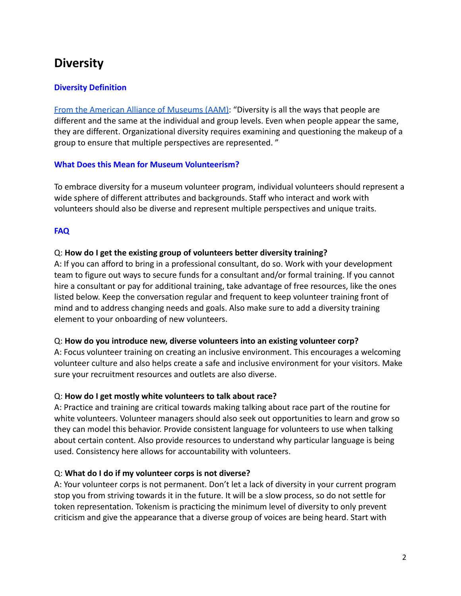## **Diversity**

## **Diversity Definition**

[From the American Alliance of Museums \(AAM\):](https://www.aam-us.org/programs/diversity-equity-accessibility-and-inclusion/facing-change-definitions/) "Diversity is all the ways that people are different and the same at the individual and group levels. Even when people appear the same, they are different. Organizational diversity requires examining and questioning the makeup of a group to ensure that multiple perspectives are represented. "

#### **What Does this Mean for Museum Volunteerism?**

To embrace diversity for a museum volunteer program, individual volunteers should represent a wide sphere of different attributes and backgrounds. Staff who interact and work with volunteers should also be diverse and represent multiple perspectives and unique traits.

## **FAQ**

## Q: **How do I get the existing group of volunteers better diversity training?**

A: If you can afford to bring in a professional consultant, do so. Work with your development team to figure out ways to secure funds for a consultant and/or formal training. If you cannot hire a consultant or pay for additional training, take advantage of free resources, like the ones listed below. Keep the conversation regular and frequent to keep volunteer training front of mind and to address changing needs and goals. Also make sure to add a diversity training element to your onboarding of new volunteers.

## Q: **How do you introduce new, diverse volunteers into an existing volunteer corp?**

A: Focus volunteer training on creating an inclusive environment. This encourages a welcoming volunteer culture and also helps create a safe and inclusive environment for your visitors. Make sure your recruitment resources and outlets are also diverse.

## Q: **How do I get mostly white volunteers to talk about race?**

A: Practice and training are critical towards making talking about race part of the routine for white volunteers. Volunteer managers should also seek out opportunities to learn and grow so they can model this behavior. Provide consistent language for volunteers to use when talking about certain content. Also provide resources to understand why particular language is being used. Consistency here allows for accountability with volunteers.

## Q: **What do I do if my volunteer corps is not diverse?**

A: Your volunteer corps is not permanent. Don't let a lack of diversity in your current program stop you from striving towards it in the future. It will be a slow process, so do not settle for token representation. Tokenism is practicing the minimum level of diversity to only prevent criticism and give the appearance that a diverse group of voices are being heard. Start with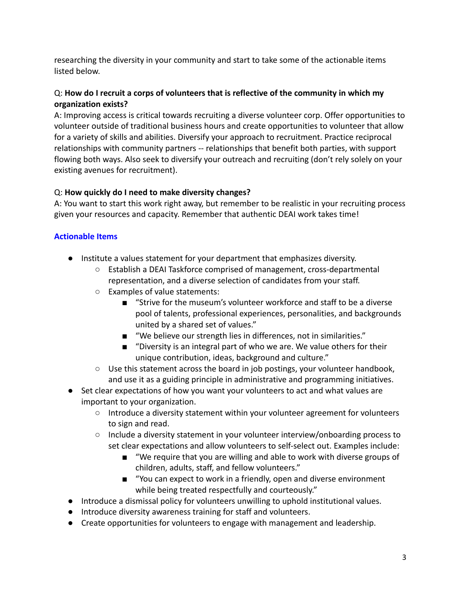researching the diversity in your community and start to take some of the actionable items listed below.

## Q: **How do I recruit a corps of volunteers that is reflective of the community in which my organization exists?**

A: Improving access is critical towards recruiting a diverse volunteer corp. Offer opportunities to volunteer outside of traditional business hours and create opportunities to volunteer that allow for a variety of skills and abilities. Diversify your approach to recruitment. Practice reciprocal relationships with community partners -- relationships that benefit both parties, with support flowing both ways. Also seek to diversify your outreach and recruiting (don't rely solely on your existing avenues for recruitment).

## Q: **How quickly do I need to make diversity changes?**

A: You want to start this work right away, but remember to be realistic in your recruiting process given your resources and capacity. Remember that authentic DEAI work takes time!

## **Actionable Items**

- Institute a values statement for your department that emphasizes diversity.
	- Establish a DEAI Taskforce comprised of management, cross-departmental representation, and a diverse selection of candidates from your staff.
	- Examples of value statements:
		- "Strive for the museum's volunteer workforce and staff to be a diverse pool of talents, professional experiences, personalities, and backgrounds united by a shared set of values."
		- "We believe our strength lies in differences, not in similarities."
		- "Diversity is an integral part of who we are. We value others for their unique contribution, ideas, background and culture."
	- Use this statement across the board in job postings, your volunteer handbook, and use it as a guiding principle in administrative and programming initiatives.
- Set clear expectations of how you want your volunteers to act and what values are important to your organization.
	- Introduce a diversity statement within your volunteer agreement for volunteers to sign and read.
	- Include a diversity statement in your volunteer interview/onboarding process to set clear expectations and allow volunteers to self-select out. Examples include:
		- "We require that you are willing and able to work with diverse groups of children, adults, staff, and fellow volunteers."
		- "You can expect to work in a friendly, open and diverse environment while being treated respectfully and courteously."
- Introduce a dismissal policy for volunteers unwilling to uphold institutional values.
- Introduce diversity awareness training for staff and volunteers.
- Create opportunities for volunteers to engage with management and leadership.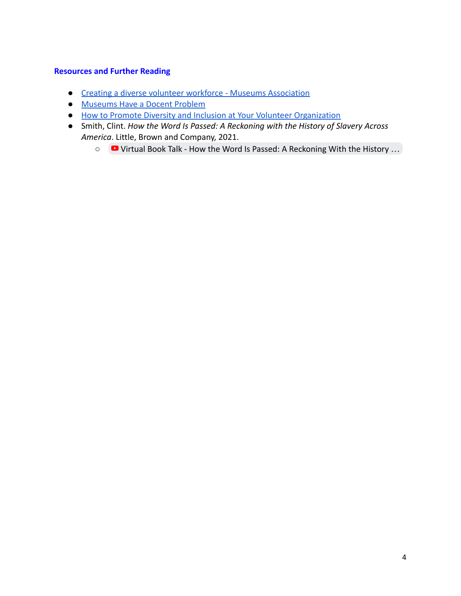- [Creating a diverse volunteer workforce Museums Association](https://www.museumsassociation.org/museums-journal/in-practice/2020/08/creating-a-diverse-volunteer-workforce/#)
- [Museums Have a Docent Problem](https://slate.com/culture/2020/08/museums-train-white-docents-talk-race-art.html)
- [How to Promote Diversity and Inclusion at Your Volunteer Organization](https://www.volgistics.com/blog/diversity-and-inclusion-for-volunteer-organizations/)
- Smith, Clint. *How the Word Is Passed: A Reckoning with the History of Slavery Across America*. Little, Brown and Company, 2021.
	- [Virtual Book Talk How the Word Is Passed: A Reckoning With the History](https://www.youtube.com/watch?v=y5pZOUYqL00) …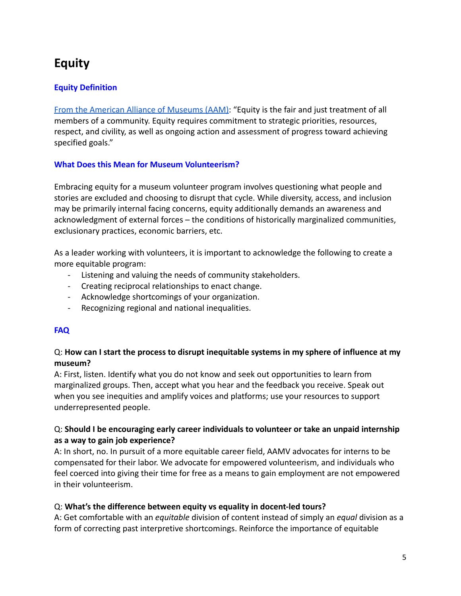## **Equity**

## **Equity Definition**

[From the American Alliance of Museums \(AAM\):](https://www.aam-us.org/programs/diversity-equity-accessibility-and-inclusion/facing-change-definitions/) "Equity is the fair and just treatment of all members of a community. Equity requires commitment to strategic priorities, resources, respect, and civility, as well as ongoing action and assessment of progress toward achieving specified goals."

### **What Does this Mean for Museum Volunteerism?**

Embracing equity for a museum volunteer program involves questioning what people and stories are excluded and choosing to disrupt that cycle. While diversity, access, and inclusion may be primarily internal facing concerns, equity additionally demands an awareness and acknowledgment of external forces – the conditions of historically marginalized communities, exclusionary practices, economic barriers, etc.

As a leader working with volunteers, it is important to acknowledge the following to create a more equitable program:

- Listening and valuing the needs of community stakeholders.
- Creating reciprocal relationships to enact change.
- Acknowledge shortcomings of your organization.
- Recognizing regional and national inequalities.

## **FAQ**

## Q: **How can I start the process to disrupt inequitable systems in my sphere of influence at my museum?**

A: First, listen. Identify what you do not know and seek out opportunities to learn from marginalized groups. Then, accept what you hear and the feedback you receive. Speak out when you see inequities and amplify voices and platforms; use your resources to support underrepresented people.

## Q: **Should I be encouraging early career individuals to volunteer or take an unpaid internship as a way to gain job experience?**

A: In short, no. In pursuit of a more equitable career field, AAMV advocates for interns to be compensated for their labor. We advocate for empowered volunteerism, and individuals who feel coerced into giving their time for free as a means to gain employment are not empowered in their volunteerism.

## Q: **What's the difference between equity vs equality in docent-led tours?**

A: Get comfortable with an *equitable* division of content instead of simply an *equal* division as a form of correcting past interpretive shortcomings. Reinforce the importance of equitable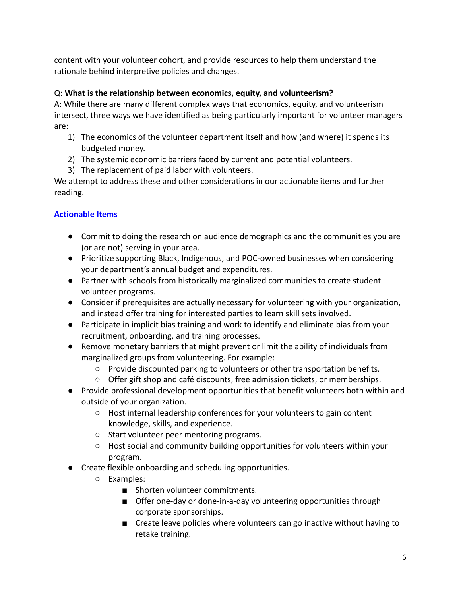content with your volunteer cohort, and provide resources to help them understand the rationale behind interpretive policies and changes.

## Q: **What is the relationship between economics, equity, and volunteerism?**

A: While there are many different complex ways that economics, equity, and volunteerism intersect, three ways we have identified as being particularly important for volunteer managers are:

- 1) The economics of the volunteer department itself and how (and where) it spends its budgeted money.
- 2) The systemic economic barriers faced by current and potential volunteers.
- 3) The replacement of paid labor with volunteers.

We attempt to address these and other considerations in our actionable items and further reading.

## **Actionable Items**

- Commit to doing the research on audience demographics and the communities you are (or are not) serving in your area.
- Prioritize supporting Black, Indigenous, and POC-owned businesses when considering your department's annual budget and expenditures.
- Partner with schools from historically marginalized communities to create student volunteer programs.
- Consider if prerequisites are actually necessary for volunteering with your organization, and instead offer training for interested parties to learn skill sets involved.
- Participate in implicit bias training and work to identify and eliminate bias from your recruitment, onboarding, and training processes.
- Remove monetary barriers that might prevent or limit the ability of individuals from marginalized groups from volunteering. For example:
	- Provide discounted parking to volunteers or other transportation benefits.
	- Offer gift shop and café discounts, free admission tickets, or memberships.
- Provide professional development opportunities that benefit volunteers both within and outside of your organization.
	- Host internal leadership conferences for your volunteers to gain content knowledge, skills, and experience.
	- Start volunteer peer mentoring programs.
	- Host social and community building opportunities for volunteers within your program.
- Create flexible onboarding and scheduling opportunities.
	- Examples:
		- Shorten volunteer commitments.
		- Offer one-day or done-in-a-day volunteering opportunities through corporate sponsorships.
		- Create leave policies where volunteers can go inactive without having to retake training.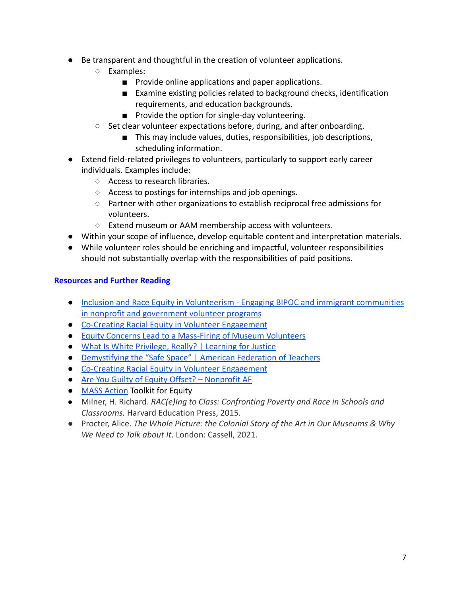- Be transparent and thoughtful in the creation of volunteer applications.
	- Examples:
		- Provide online applications and paper applications.
		- Examine existing policies related to background checks, identification requirements, and education backgrounds.
		- Provide the option for single-day volunteering.
	- Set clear volunteer expectations before, during, and after onboarding.
		- This may include values, duties, responsibilities, job descriptions, scheduling information.
- Extend field-related privileges to volunteers, particularly to support early career individuals. Examples include:
	- Access to research libraries.
	- Access to postings for internships and job openings.
	- Partner with other organizations to establish reciprocal free admissions for volunteers.
	- Extend museum or AAM membership access with volunteers.
- Within your scope of influence, develop equitable content and interpretation materials.
- While volunteer roles should be enriching and impactful, volunteer responsibilities should not substantially overlap with the responsibilities of paid positions.

- [Inclusion and Race Equity in Volunteerism Engaging BIPOC and immigrant communities](https://www.mavanetwork.org/inclusive) [in nonprofit and government volunteer programs](https://www.mavanetwork.org/inclusive)
- [Co-Creating Racial Equity in Volunteer Engagement](https://mava.clubexpress.com/content.aspx?page_id=2507&club_id=286912&item_id=3647)
- [Equity Concerns Lead to a Mass-Firing of Museum Volunteers](https://quillette.com/2021/11/15/the-unbearable-whiteness-of-museum-tour-guides/)
- [What Is White Privilege, Really? | Learning for Justice](https://www.learningforjustice.org/magazine/fall-2018/what-is-white-privilege-really)
- [Demystifying the "Safe Space" | American Federation of Teachers](https://www.aft.org/ae/fall2019/kay)
- [Co-Creating Racial Equity in Volunteer Engagement](https://mava.clubexpress.com/content.aspx?page_id=2507&club_id=286912&item_id=3647)
- [Are You Guilty of Equity Offset? Nonprofit AF](https://nonprofitaf.com/2019/11/are-you-guilty-of-equity-offset/)
- [MASS Action](https://www.museumaction.org/) Toolkit for Equity
- Milner, H. Richard. *RAC(e)Ing to Class: Confronting Poverty and Race in Schools and Classrooms.* Harvard Education Press, 2015.
- *●* Procter, Alice. *The Whole Picture: the Colonial Story of the Art in Our Museums & Why We Need to Talk about It*. London: Cassell, 2021.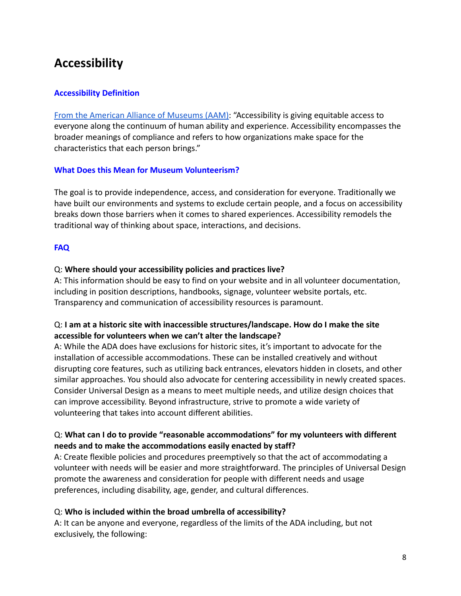## **Accessibility**

### **Accessibility Definition**

[From the American Alliance of Museums \(AAM\):](https://www.aam-us.org/programs/diversity-equity-accessibility-and-inclusion/facing-change-definitions/) "Accessibility is giving equitable access to everyone along the continuum of human ability and experience. Accessibility encompasses the broader meanings of compliance and refers to how organizations make space for the characteristics that each person brings."

#### **What Does this Mean for Museum Volunteerism?**

The goal is to provide independence, access, and consideration for everyone. Traditionally we have built our environments and systems to exclude certain people, and a focus on accessibility breaks down those barriers when it comes to shared experiences. Accessibility remodels the traditional way of thinking about space, interactions, and decisions.

#### **FAQ**

#### Q: **Where should your accessibility policies and practices live?**

A: This information should be easy to find on your website and in all volunteer documentation, including in position descriptions, handbooks, signage, volunteer website portals, etc. Transparency and communication of accessibility resources is paramount.

### Q: **I am at a historic site with inaccessible structures/landscape. How do I make the site accessible for volunteers when we can't alter the landscape?**

A: While the ADA does have exclusions for historic sites, it's important to advocate for the installation of accessible accommodations. These can be installed creatively and without disrupting core features, such as utilizing back entrances, elevators hidden in closets, and other similar approaches. You should also advocate for centering accessibility in newly created spaces. Consider Universal Design as a means to meet multiple needs, and utilize design choices that can improve accessibility. Beyond infrastructure, strive to promote a wide variety of volunteering that takes into account different abilities.

### Q: **What can I do to provide "reasonable accommodations" for my volunteers with different needs and to make the accommodations easily enacted by staff?**

A: Create flexible policies and procedures preemptively so that the act of accommodating a volunteer with needs will be easier and more straightforward. The principles of Universal Design promote the awareness and consideration for people with different needs and usage preferences, including disability, age, gender, and cultural differences.

#### Q: **Who is included within the broad umbrella of accessibility?**

A: It can be anyone and everyone, regardless of the limits of the ADA including, but not exclusively, the following: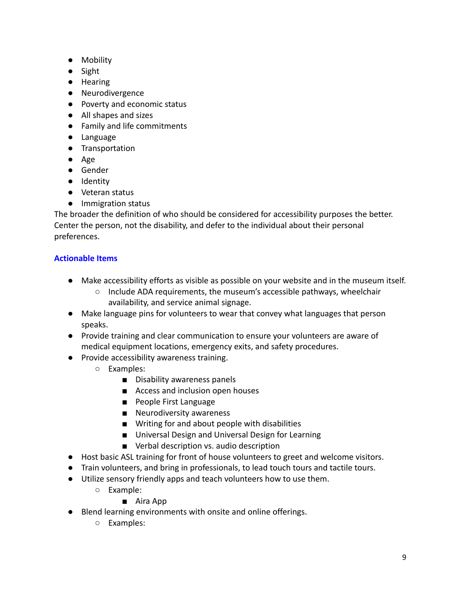- Mobility
- Sight
- Hearing
- Neurodivergence
- Poverty and economic status
- All shapes and sizes
- Family and life commitments
- Language
- Transportation
- Age
- Gender
- Identity
- Veteran status
- Immigration status

The broader the definition of who should be considered for accessibility purposes the better. Center the person, not the disability, and defer to the individual about their personal preferences.

## **Actionable Items**

- Make accessibility efforts as visible as possible on your website and in the museum itself.
	- $\circ$  Include ADA requirements, the museum's accessible pathways, wheelchair availability, and service animal signage.
- Make language pins for volunteers to wear that convey what languages that person speaks.
- Provide training and clear communication to ensure your volunteers are aware of medical equipment locations, emergency exits, and safety procedures.
- Provide accessibility awareness training.
	- Examples:
		- Disability awareness panels
		- Access and inclusion open houses
		- People First Language
		- Neurodiversity awareness
		- Writing for and about people with disabilities
		- Universal Design and Universal Design for Learning
		- Verbal description vs. audio description
- Host basic ASL training for front of house volunteers to greet and welcome visitors.
- Train volunteers, and bring in professionals, to lead touch tours and tactile tours.
- Utilize sensory friendly apps and teach volunteers how to use them.
	- Example:

## ■ Aira App

- Blend learning environments with onsite and online offerings.
	- Examples: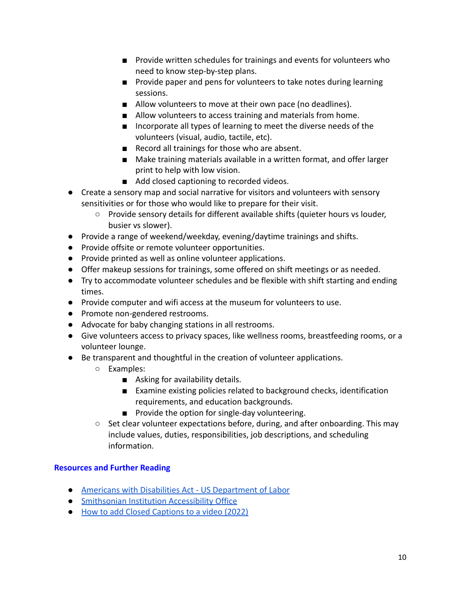- Provide written schedules for trainings and events for volunteers who need to know step-by-step plans.
- Provide paper and pens for volunteers to take notes during learning sessions.
- Allow volunteers to move at their own pace (no deadlines).
- Allow volunteers to access training and materials from home.
- Incorporate all types of learning to meet the diverse needs of the volunteers (visual, audio, tactile, etc).
- Record all trainings for those who are absent.
- Make training materials available in a written format, and offer larger print to help with low vision.
- Add closed captioning to recorded videos.
- Create a sensory map and social narrative for visitors and volunteers with sensory sensitivities or for those who would like to prepare for their visit.
	- Provide sensory details for different available shifts (quieter hours vs louder, busier vs slower).
- Provide a range of weekend/weekday, evening/daytime trainings and shifts.
- Provide offsite or remote volunteer opportunities.
- Provide printed as well as online volunteer applications.
- Offer makeup sessions for trainings, some offered on shift meetings or as needed.
- Try to accommodate volunteer schedules and be flexible with shift starting and ending times.
- Provide computer and wifi access at the museum for volunteers to use.
- Promote non-gendered restrooms.
- Advocate for baby changing stations in all restrooms.
- Give volunteers access to privacy spaces, like wellness rooms, breastfeeding rooms, or a volunteer lounge.
- Be transparent and thoughtful in the creation of volunteer applications.
	- Examples:
		- Asking for availability details.
		- Examine existing policies related to background checks, identification requirements, and education backgrounds.
		- Provide the option for single-day volunteering.
	- Set clear volunteer expectations before, during, and after onboarding. This may include values, duties, responsibilities, job descriptions, and scheduling information.

- [Americans with Disabilities Act US Department of Labor](https://www.dol.gov/general/topic/disability/ada#:~:text=The%20Americans%20with%20Disabilities%20Act,local%20government)
- [Smithsonian Institution Accessibility Office](https://www.si.edu/visit/VisitorsWithDisabilities)
- [How to add Closed Captions to a video \(2022\)](https://www.youtube.com/watch?v=aSYWjLkL6To)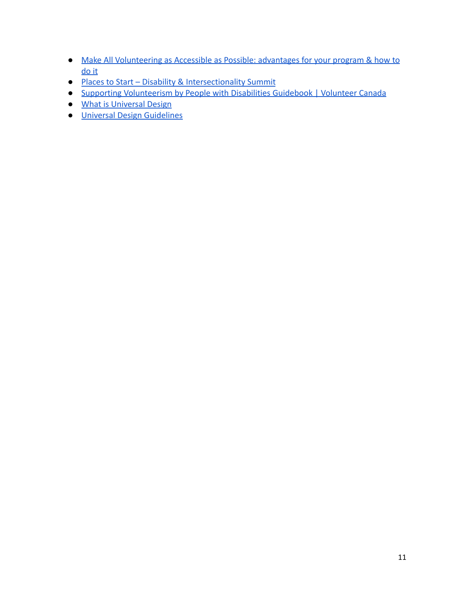- [Make All Volunteering as Accessible as Possible: advantages for your program & how to](https://www.coyotecommunications.com/volunteer/disabilities.shtml) [do it](https://www.coyotecommunications.com/volunteer/disabilities.shtml)
- [Places to Start Disability & Intersectionality Summi](https://www.disabilityintersectionalitysummit.com/places-to-start/)t
- [Supporting Volunteerism by People with Disabilities Guidebook | Volunteer Canada](https://volunteer.ca/vdemo/EngagingVolunteers_DOCS/Supporting_Volunteerism_by_People_with_Disabilities_Guidebook.pdf)
- [What is Universal Design](https://universaldesign.ie/what-is-universal-design/)
- [Universal Design Guidelines](https://udlguidelines.cast.org/)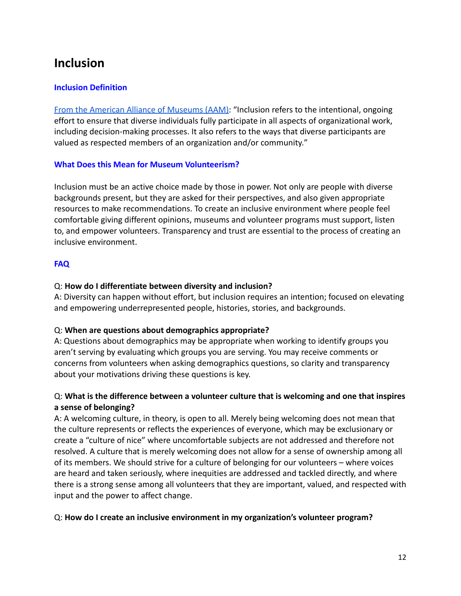## **Inclusion**

## **Inclusion Definition**

[From the American Alliance of Museums \(AAM\):](https://www.aam-us.org/programs/diversity-equity-accessibility-and-inclusion/facing-change-definitions/) "Inclusion refers to the intentional, ongoing effort to ensure that diverse individuals fully participate in all aspects of organizational work, including decision-making processes. It also refers to the ways that diverse participants are valued as respected members of an organization and/or community."

### **What Does this Mean for Museum Volunteerism?**

Inclusion must be an active choice made by those in power. Not only are people with diverse backgrounds present, but they are asked for their perspectives, and also given appropriate resources to make recommendations. To create an inclusive environment where people feel comfortable giving different opinions, museums and volunteer programs must support, listen to, and empower volunteers. Transparency and trust are essential to the process of creating an inclusive environment.

## **FAQ**

## Q: **How do I differentiate between diversity and inclusion?**

A: Diversity can happen without effort, but inclusion requires an intention; focused on elevating and empowering underrepresented people, histories, stories, and backgrounds.

## Q: **When are questions about demographics appropriate?**

A: Questions about demographics may be appropriate when working to identify groups you aren't serving by evaluating which groups you are serving. You may receive comments or concerns from volunteers when asking demographics questions, so clarity and transparency about your motivations driving these questions is key.

## Q: **What is the difference between a volunteer culture that is welcoming and one that inspires a sense of belonging?**

A: A welcoming culture, in theory, is open to all. Merely being welcoming does not mean that the culture represents or reflects the experiences of everyone, which may be exclusionary or create a "culture of nice" where uncomfortable subjects are not addressed and therefore not resolved. A culture that is merely welcoming does not allow for a sense of ownership among all of its members. We should strive for a culture of belonging for our volunteers – where voices are heard and taken seriously, where inequities are addressed and tackled directly, and where there is a strong sense among all volunteers that they are important, valued, and respected with input and the power to affect change.

## Q: **How do I create an inclusive environment in my organization's volunteer program?**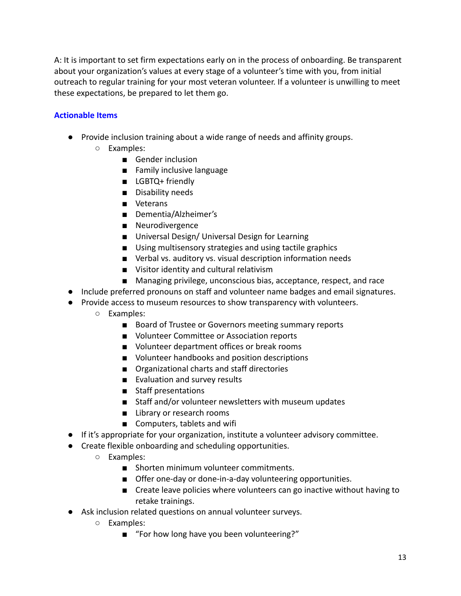A: It is important to set firm expectations early on in the process of onboarding. Be transparent about your organization's values at every stage of a volunteer's time with you, from initial outreach to regular training for your most veteran volunteer. If a volunteer is unwilling to meet these expectations, be prepared to let them go.

### **Actionable Items**

- Provide inclusion training about a wide range of needs and affinity groups.
	- Examples:
		- Gender inclusion
		- Family inclusive language
		- LGBTQ+ friendly
		- Disability needs
		- Veterans
		- Dementia/Alzheimer's
		- Neurodivergence
		- Universal Design/ Universal Design for Learning
		- Using multisensory strategies and using tactile graphics
		- Verbal vs. auditory vs. visual description information needs
		- Visitor identity and cultural relativism
		- Managing privilege, unconscious bias, acceptance, respect, and race
- Include preferred pronouns on staff and volunteer name badges and email signatures.
- Provide access to museum resources to show transparency with volunteers.
	- Examples:
		- Board of Trustee or Governors meeting summary reports
		- Volunteer Committee or Association reports
		- Volunteer department offices or break rooms
		- Volunteer handbooks and position descriptions
		- Organizational charts and staff directories
		- Evaluation and survey results
		- Staff presentations
		- Staff and/or volunteer newsletters with museum updates
		- Library or research rooms
		- Computers, tablets and wifi
- If it's appropriate for your organization, institute a volunteer advisory committee.
- Create flexible onboarding and scheduling opportunities.
	- Examples:
		- Shorten minimum volunteer commitments.
		- Offer one-day or done-in-a-day volunteering opportunities.
		- Create leave policies where volunteers can go inactive without having to retake trainings.
- Ask inclusion related questions on annual volunteer surveys.
	- Examples:
		- "For how long have you been volunteering?"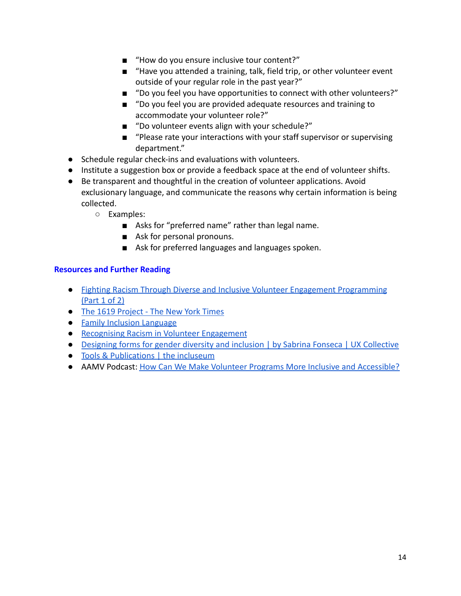- "How do you ensure inclusive tour content?"
- "Have you attended a training, talk, field trip, or other volunteer event outside of your regular role in the past year?"
- "Do you feel you have opportunities to connect with other volunteers?"
- "Do you feel you are provided adequate resources and training to accommodate your volunteer role?"
- "Do volunteer events align with your schedule?"
- "Please rate your interactions with your staff supervisor or supervising department."
- Schedule regular check-ins and evaluations with volunteers.
- Institute a suggestion box or provide a feedback space at the end of volunteer shifts.
- Be transparent and thoughtful in the creation of volunteer applications. Avoid exclusionary language, and communicate the reasons why certain information is being collected.
	- Examples:
		- Asks for "preferred name" rather than legal name.
		- Ask for personal pronouns.
		- Ask for preferred languages and languages spoken.

- [Fighting Racism Through Diverse and Inclusive Volunteer Engagement Programming](https://www.jerometennille.com/post/fighting-racism-through-diverse-and-inclusive-volunteer-engagement-programming-part-1-of-2) [\(Part 1 of 2\)](https://www.jerometennille.com/post/fighting-racism-through-diverse-and-inclusive-volunteer-engagement-programming-part-1-of-2)
- [The 1619 Project The New York Times](https://www.nytimes.com/interactive/2019/08/14/magazine/1619-america-slavery.html)
- [Family Inclusion Language](https://b033418d-11a7-49a3-bbde-c0d18406843d.filesusr.com/ugd/ae50a5_93212e2cea484ad9aa87d36b35b6557d.pdf)
- [Recognising Racism in Volunteer Engagement](https://robjacksonconsulting.wordpress.com/2020/07/10/recognising-racism-in-volunteer-engagement/)
- [Designing forms for gender diversity and inclusion | by Sabrina Fonseca | UX Collective](https://uxdesign.cc/designing-forms-for-gender-diversity-and-inclusion-d8194cf1f51)
- [Tools & Publications | the incluseum](https://incluseum.com/tools/)
- AAMV Podcast: [How Can We Make Volunteer Programs More](https://www.aam-us.org/2020/10/14/how-can-we-make-volunteer-programs-more-inclusive-and-accessible/) Inclusive and Accessible?